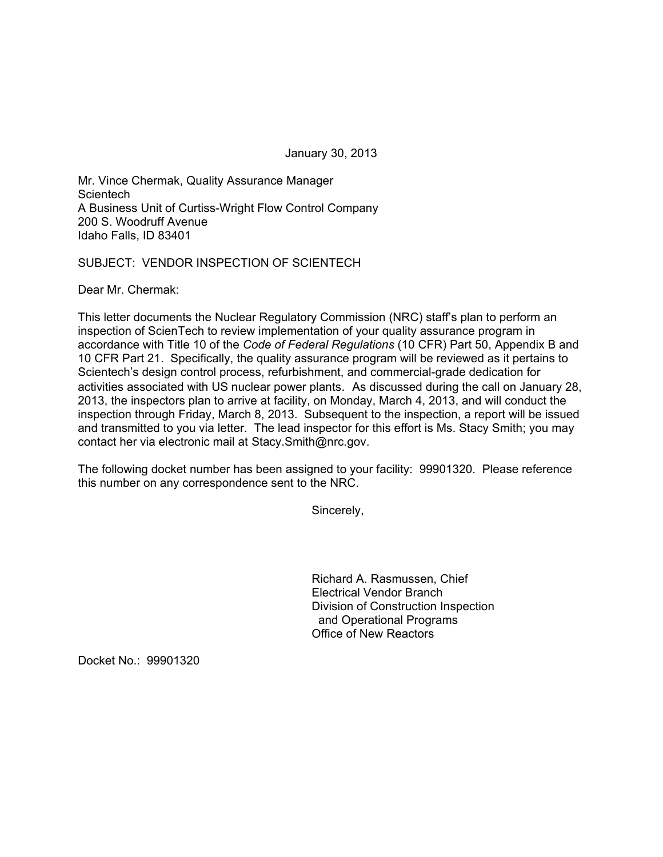January 30, 2013

Mr. Vince Chermak, Quality Assurance Manager **Scientech** A Business Unit of Curtiss-Wright Flow Control Company 200 S. Woodruff Avenue Idaho Falls, ID 83401

SUBJECT: VENDOR INSPECTION OF SCIENTECH

Dear Mr. Chermak:

This letter documents the Nuclear Regulatory Commission (NRC) staff's plan to perform an inspection of ScienTech to review implementation of your quality assurance program in accordance with Title 10 of the *Code of Federal Regulations* (10 CFR) Part 50, Appendix B and 10 CFR Part 21. Specifically, the quality assurance program will be reviewed as it pertains to Scientech's design control process, refurbishment, and commercial-grade dedication for activities associated with US nuclear power plants. As discussed during the call on January 28, 2013, the inspectors plan to arrive at facility, on Monday, March 4, 2013, and will conduct the inspection through Friday, March 8, 2013. Subsequent to the inspection, a report will be issued and transmitted to you via letter. The lead inspector for this effort is Ms. Stacy Smith; you may contact her via electronic mail at Stacy.Smith@nrc.gov.

The following docket number has been assigned to your facility: 99901320. Please reference this number on any correspondence sent to the NRC.

Sincerely,

Richard A. Rasmussen, Chief Electrical Vendor Branch Division of Construction Inspection and Operational Programs Office of New Reactors

Docket No.: 99901320